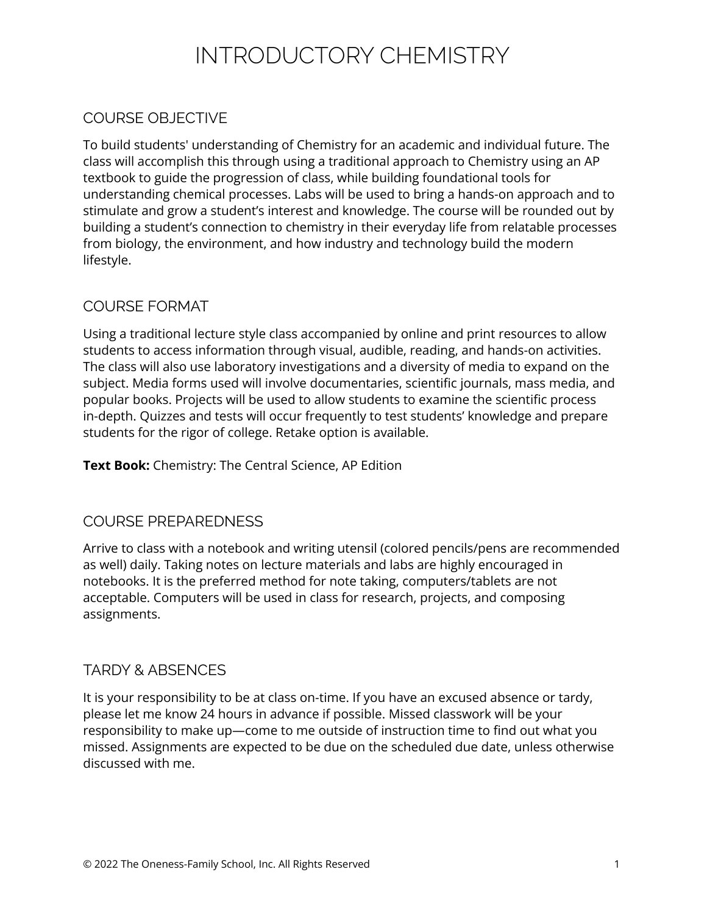# INTRODUCTORY CHEMISTRY

## COURSE OBJECTIVE

To build students' understanding of Chemistry for an academic and individual future. The class will accomplish this through using a traditional approach to Chemistry using an AP textbook to guide the progression of class, while building foundational tools for understanding chemical processes. Labs will be used to bring a hands-on approach and to stimulate and grow a student's interest and knowledge. The course will be rounded out by building a student's connection to chemistry in their everyday life from relatable processes from biology, the environment, and how industry and technology build the modern lifestyle.

### COURSE FORMAT

Using a traditional lecture style class accompanied by online and print resources to allow students to access information through visual, audible, reading, and hands-on activities. The class will also use laboratory investigations and a diversity of media to expand on the subject. Media forms used will involve documentaries, scientific journals, mass media, and popular books. Projects will be used to allow students to examine the scientific process in-depth. Quizzes and tests will occur frequently to test students' knowledge and prepare students for the rigor of college. Retake option is available.

**Text Book:** Chemistry: The Central Science, AP Edition

### COURSE PREPAREDNESS

Arrive to class with a notebook and writing utensil (colored pencils/pens are recommended as well) daily. Taking notes on lecture materials and labs are highly encouraged in notebooks. It is the preferred method for note taking, computers/tablets are not acceptable. Computers will be used in class for research, projects, and composing assignments.

### TARDY & ABSENCES

It is your responsibility to be at class on-time. If you have an excused absence or tardy, please let me know 24 hours in advance if possible. Missed classwork will be your responsibility to make up—come to me outside of instruction time to find out what you missed. Assignments are expected to be due on the scheduled due date, unless otherwise discussed with me.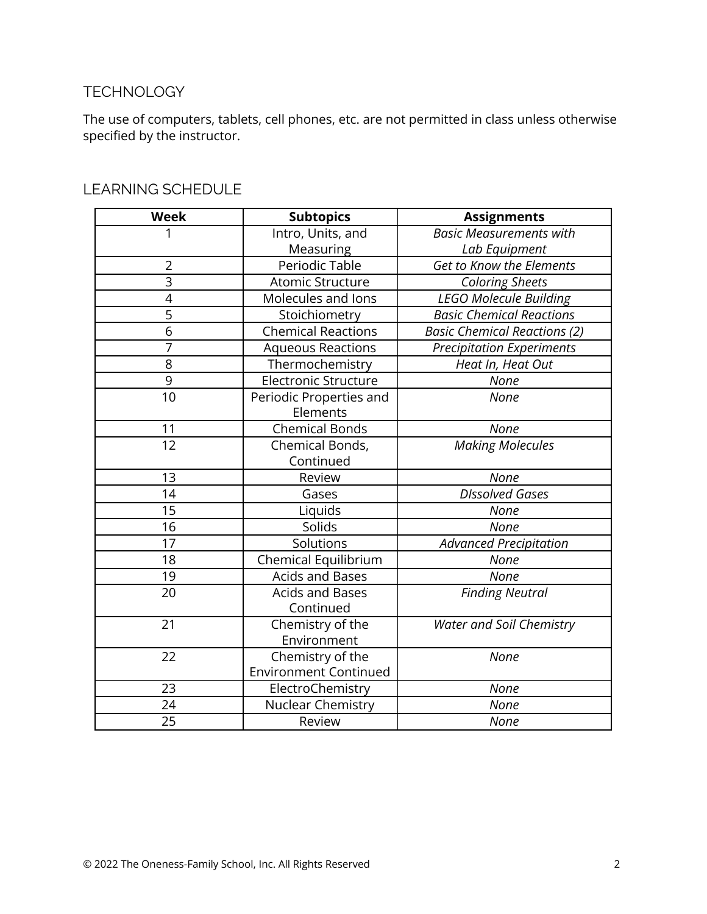### **TECHNOLOGY**

The use of computers, tablets, cell phones, etc. are not permitted in class unless otherwise specified by the instructor.

| <b>Week</b>    | <b>Subtopics</b>             | <b>Assignments</b>                  |
|----------------|------------------------------|-------------------------------------|
| 1              | Intro, Units, and            | <b>Basic Measurements with</b>      |
|                | Measuring                    | Lab Equipment                       |
| $\overline{2}$ | Periodic Table               | Get to Know the Elements            |
| $\overline{3}$ | Atomic Structure             | <b>Coloring Sheets</b>              |
| $\overline{4}$ | Molecules and lons           | <b>LEGO Molecule Building</b>       |
| $\overline{5}$ | Stoichiometry                | <b>Basic Chemical Reactions</b>     |
| 6              | <b>Chemical Reactions</b>    | <b>Basic Chemical Reactions (2)</b> |
| 7              | <b>Aqueous Reactions</b>     | <b>Precipitation Experiments</b>    |
| 8              | Thermochemistry              | Heat In, Heat Out                   |
| 9              | <b>Electronic Structure</b>  | None                                |
| 10             | Periodic Properties and      | None                                |
|                | Elements                     |                                     |
| 11             | <b>Chemical Bonds</b>        | None                                |
| 12             | Chemical Bonds,              | Making Molecules                    |
|                | Continued                    |                                     |
| 13             | Review                       | None                                |
| 14             | Gases                        | <b>DIssolved Gases</b>              |
| 15             | Liquids                      | None                                |
| 16             | Solids                       | <b>None</b>                         |
| 17             | Solutions                    | <b>Advanced Precipitation</b>       |
| 18             | Chemical Equilibrium         | None                                |
| 19             | <b>Acids and Bases</b>       | None                                |
| 20             | <b>Acids and Bases</b>       | <b>Finding Neutral</b>              |
|                | Continued                    |                                     |
| 21             | Chemistry of the             | <b>Water and Soil Chemistry</b>     |
|                | Environment                  |                                     |
| 22             | Chemistry of the             | None                                |
|                | <b>Environment Continued</b> |                                     |
| 23             | ElectroChemistry             | None                                |
| 24             | Nuclear Chemistry            | None                                |
| 25             | Review                       | None                                |

#### LEARNING SCHEDULE